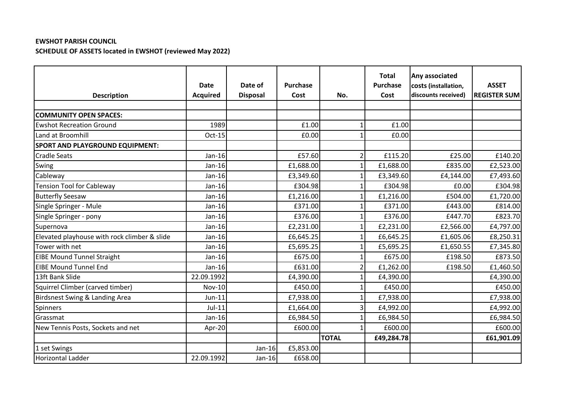## **EWSHOT PARISH COUNCIL SCHEDULE OF ASSETS located in EWSHOT (reviewed May 2022)**

| <b>Description</b>                           | <b>Date</b><br><b>Acquired</b> | Date of<br><b>Disposal</b> | Purchase<br>Cost | No.            | <b>Total</b><br><b>Purchase</b><br>Cost | Any associated<br>costs (installation,<br>discounts received) | <b>ASSET</b><br><b>REGISTER SUM</b> |
|----------------------------------------------|--------------------------------|----------------------------|------------------|----------------|-----------------------------------------|---------------------------------------------------------------|-------------------------------------|
|                                              |                                |                            |                  |                |                                         |                                                               |                                     |
| <b>COMMUNITY OPEN SPACES:</b>                |                                |                            |                  |                |                                         |                                                               |                                     |
| <b>Ewshot Recreation Ground</b>              | 1989                           |                            | £1.00            |                | £1.00                                   |                                                               |                                     |
| Land at Broomhill                            | Oct-15                         |                            | £0.00            |                | £0.00                                   |                                                               |                                     |
| <b>SPORT AND PLAYGROUND EQUIPMENT:</b>       |                                |                            |                  |                |                                         |                                                               |                                     |
| <b>Cradle Seats</b>                          | $Jan-16$                       |                            | £57.60           | $\overline{2}$ | £115.20                                 | £25.00                                                        | £140.20                             |
| Swing                                        | $Jan-16$                       |                            | £1,688.00        |                | £1,688.00                               | £835.00                                                       | £2,523.00                           |
| Cableway                                     | $Jan-16$                       |                            | £3,349.60        |                | £3,349.60                               | £4,144.00                                                     | £7,493.60                           |
| <b>Tension Tool for Cableway</b>             | $Jan-16$                       |                            | £304.98          |                | £304.98                                 | £0.00                                                         | £304.98                             |
| <b>Butterfly Seesaw</b>                      | $Jan-16$                       |                            | £1,216.00        |                | £1,216.00                               | £504.00                                                       | £1,720.00                           |
| Single Springer - Mule                       | $Jan-16$                       |                            | £371.00          |                | £371.00                                 | £443.00                                                       | £814.00                             |
| Single Springer - pony                       | $Jan-16$                       |                            | £376.00          | 1              | £376.00                                 | £447.70                                                       | £823.70                             |
| Supernova                                    | $Jan-16$                       |                            | £2,231.00        |                | £2,231.00                               | £2,566.00                                                     | £4,797.00                           |
| Elevated playhouse with rock climber & slide | $Jan-16$                       |                            | £6,645.25        | 1              | £6,645.25                               | £1,605.06                                                     | £8,250.31                           |
| Tower with net                               | $Jan-16$                       |                            | £5,695.25        |                | £5,695.25                               | £1,650.55                                                     | £7,345.80                           |
| <b>EIBE Mound Tunnel Straight</b>            | $Jan-16$                       |                            | £675.00          | 1              | £675.00                                 | £198.50                                                       | £873.50                             |
| <b>EIBE Mound Tunnel End</b>                 | Jan-16                         |                            | £631.00          | $\overline{2}$ | £1,262.00                               | £198.50                                                       | £1,460.50                           |
| 13ft Bank Slide                              | 22.09.1992                     |                            | £4,390.00        |                | £4,390.00                               |                                                               | £4,390.00                           |
| Squirrel Climber (carved timber)             | <b>Nov-10</b>                  |                            | £450.00          |                | £450.00                                 |                                                               | £450.00                             |
| Birdsnest Swing & Landing Area               | $Jun-11$                       |                            | £7,938.00        |                | £7,938.00                               |                                                               | £7,938.00                           |
| Spinners                                     | $Jul-11$                       |                            | £1,664.00        | 3              | £4,992.00                               |                                                               | £4,992.00                           |
| Grassmat                                     | $Jan-16$                       |                            | £6,984.50        |                | £6,984.50                               |                                                               | £6,984.50                           |
| New Tennis Posts, Sockets and net            | Apr-20                         |                            | £600.00          | $\mathbf 1$    | £600.00                                 |                                                               | £600.00                             |
|                                              |                                |                            |                  | <b>TOTAL</b>   | £49,284.78                              |                                                               | £61,901.09                          |
| 1 set Swings                                 |                                | $Jan-16$                   | £5,853.00        |                |                                         |                                                               |                                     |
| <b>Horizontal Ladder</b>                     | 22.09.1992                     | Jan-16                     | £658.00          |                |                                         |                                                               |                                     |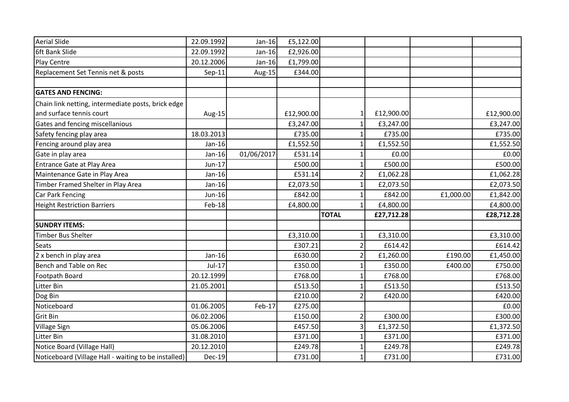| <b>Aerial Slide</b>                                  | 22.09.1992    | Jan-16     | £5,122.00  |                          |            |           |            |
|------------------------------------------------------|---------------|------------|------------|--------------------------|------------|-----------|------------|
| 6ft Bank Slide                                       | 22.09.1992    | $Jan-16$   | £2,926.00  |                          |            |           |            |
| Play Centre                                          | 20.12.2006    | $Jan-16$   | £1,799.00  |                          |            |           |            |
| Replacement Set Tennis net & posts                   | $Sep-11$      | Aug-15     | £344.00    |                          |            |           |            |
|                                                      |               |            |            |                          |            |           |            |
| <b>GATES AND FENCING:</b>                            |               |            |            |                          |            |           |            |
| Chain link netting, intermediate posts, brick edge   |               |            |            |                          |            |           |            |
| and surface tennis court                             | Aug-15        |            | £12,900.00 |                          | £12,900.00 |           | £12,900.00 |
| Gates and fencing miscellanious                      |               |            | £3,247.00  |                          | £3,247.00  |           | £3,247.00  |
| Safety fencing play area                             | 18.03.2013    |            | £735.00    |                          | £735.00    |           | £735.00    |
| Fencing around play area                             | Jan-16        |            | £1,552.50  | 1                        | £1,552.50  |           | £1,552.50  |
| Gate in play area                                    | Jan-16        | 01/06/2017 | £531.14    |                          | £0.00      |           | £0.00      |
| <b>Entrance Gate at Play Area</b>                    | $Jun-17$      |            | £500.00    | 1                        | £500.00    |           | £500.00    |
| Maintenance Gate in Play Area                        | Jan-16        |            | £531.14    | $\overline{\phantom{a}}$ | £1,062.28  |           | £1,062.28  |
| Timber Framed Shelter in Play Area                   | Jan-16        |            | £2,073.50  |                          | £2,073.50  |           | £2,073.50  |
| Car Park Fencing                                     | Jun-16        |            | £842.00    |                          | £842.00    | £1,000.00 | £1,842.00  |
| <b>Height Restriction Barriers</b>                   | Feb-18        |            | £4,800.00  | $\mathbf{1}$             | £4,800.00  |           | £4,800.00  |
|                                                      |               |            |            | <b>TOTAL</b>             | £27,712.28 |           | £28,712.28 |
| <b>SUNDRY ITEMS:</b>                                 |               |            |            |                          |            |           |            |
| Timber Bus Shelter                                   |               |            | £3,310.00  | $\mathbf{1}$             | £3,310.00  |           | £3,310.00  |
| Seats                                                |               |            | £307.21    |                          | £614.42    |           | £614.42    |
| 2 x bench in play area                               | Jan-16        |            | £630.00    | $\mathcal{P}$            | £1,260.00  | £190.00   | £1,450.00  |
| Bench and Table on Rec                               | $Jul-17$      |            | £350.00    |                          | £350.00    | £400.00   | £750.00    |
| Footpath Board                                       | 20.12.1999    |            | £768.00    |                          | £768.00    |           | £768.00    |
| Litter Bin                                           | 21.05.2001    |            | £513.50    |                          | £513.50    |           | £513.50    |
| Dog Bin                                              |               |            | £210.00    |                          | £420.00    |           | £420.00    |
| Noticeboard                                          | 01.06.2005    | Feb-17     | £275.00    |                          |            |           | £0.00      |
| Grit Bin                                             | 06.02.2006    |            | £150.00    | $\overline{2}$           | £300.00    |           | £300.00    |
| <b>Village Sign</b>                                  | 05.06.2006    |            | £457.50    | 3                        | £1,372.50  |           | £1,372.50  |
| Litter Bin                                           | 31.08.2010    |            | £371.00    |                          | £371.00    |           | £371.00    |
| Notice Board (Village Hall)                          | 20.12.2010    |            | £249.78    |                          | £249.78    |           | £249.78    |
| Noticeboard (Village Hall - waiting to be installed) | <b>Dec-19</b> |            | £731.00    |                          | £731.00    |           | £731.00    |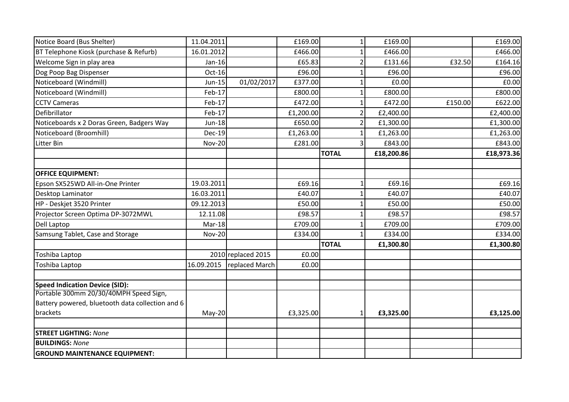| Notice Board (Bus Shelter)                       | 11.04.2011    |                    | £169.00   | $\mathbf{1}$  | £169.00    |         | £169.00    |
|--------------------------------------------------|---------------|--------------------|-----------|---------------|------------|---------|------------|
| BT Telephone Kiosk (purchase & Refurb)           | 16.01.2012    |                    | £466.00   | 1             | £466.00    |         | £466.00    |
| Welcome Sign in play area                        | Jan-16        |                    | £65.83    |               | £131.66    | £32.50  | £164.16    |
| Dog Poop Bag Dispenser                           | Oct-16        |                    | £96.00    |               | £96.00     |         | £96.00     |
| Noticeboard (Windmill)                           | Jun-15        | 01/02/2017         | £377.00   | 1             | £0.00      |         | £0.00      |
| Noticeboard (Windmill)                           | Feb-17        |                    | £800.00   |               | £800.00    |         | £800.00    |
| <b>CCTV Cameras</b>                              | Feb-17        |                    | £472.00   |               | £472.00    | £150.00 | £622.00    |
| Defibrillator                                    | Feb-17        |                    | £1,200.00 | $\mathcal{P}$ | £2,400.00  |         | £2,400.00  |
| Noticeboards x 2 Doras Green, Badgers Way        | <b>Jun-18</b> |                    | £650.00   | 2             | £1,300.00  |         | £1,300.00  |
| Noticeboard (Broomhill)                          | <b>Dec-19</b> |                    | £1,263.00 |               | £1,263.00  |         | £1,263.00  |
| Litter Bin                                       | <b>Nov-20</b> |                    | £281.00   | 3             | £843.00    |         | £843.00    |
|                                                  |               |                    |           | <b>TOTAL</b>  | £18,200.86 |         | £18,973.36 |
| <b>OFFICE EQUIPMENT:</b>                         |               |                    |           |               |            |         |            |
| Epson SX525WD All-in-One Printer                 | 19.03.2011    |                    | £69.16    | 1             | £69.16     |         | £69.16     |
| Desktop Laminator                                | 16.03.2011    |                    | £40.07    | 1             | £40.07     |         | £40.07     |
| HP - Deskjet 3520 Printer                        | 09.12.2013    |                    | £50.00    |               | £50.00     |         | £50.00     |
| Projector Screen Optima DP-3072MWL               | 12.11.08      |                    | £98.57    |               | £98.57     |         | £98.57     |
| Dell Laptop                                      | Mar-18        |                    | £709.00   |               | £709.00    |         | £709.00    |
| Samsung Tablet, Case and Storage                 | <b>Nov-20</b> |                    | £334.00   | $\mathbf{1}$  | £334.00    |         | £334.00    |
|                                                  |               |                    |           | <b>TOTAL</b>  | £1,300.80  |         | £1,300.80  |
| Toshiba Laptop                                   |               | 2010 replaced 2015 | E0.00     |               |            |         |            |
| Toshiba Laptop                                   | 16.09.2015    | replaced March     | £0.00     |               |            |         |            |
| <b>Speed Indication Device (SID):</b>            |               |                    |           |               |            |         |            |
| Portable 300mm 20/30/40MPH Speed Sign,           |               |                    |           |               |            |         |            |
| Battery powered, bluetooth data collection and 6 |               |                    |           |               |            |         |            |
| brackets                                         | May-20        |                    | £3,325.00 | $\mathbf{1}$  | £3,325.00  |         | £3,125.00  |
| STREET LIGHTING: None                            |               |                    |           |               |            |         |            |
| <b>BUILDINGS: None</b>                           |               |                    |           |               |            |         |            |
| <b>GROUND MAINTENANCE EQUIPMENT:</b>             |               |                    |           |               |            |         |            |